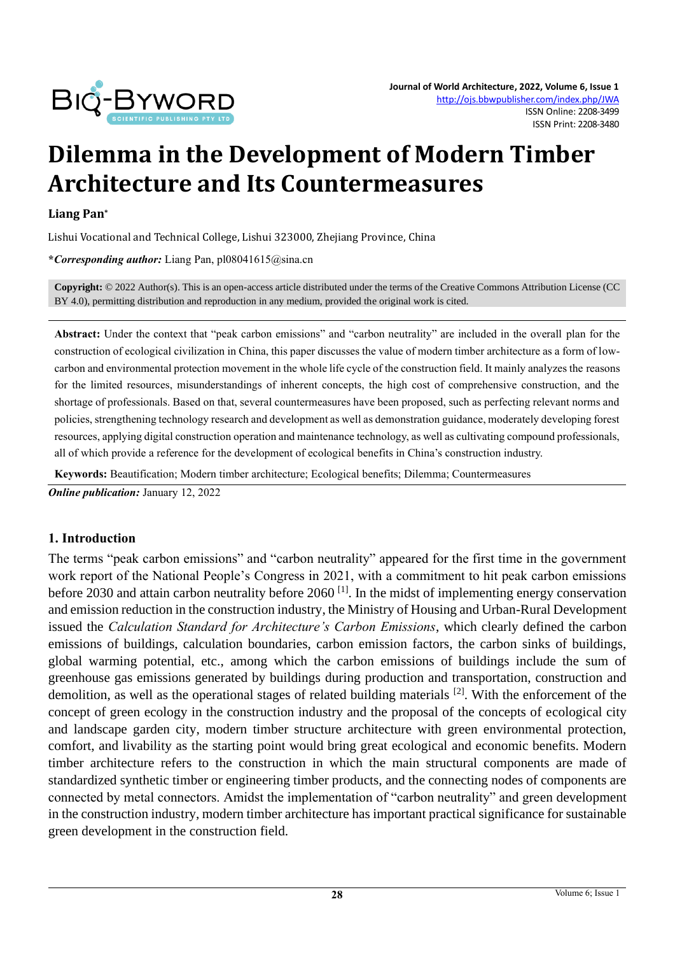

# **Dilemma in the Development of Modern Timber Architecture and Its Countermeasures**

#### **Liang Pan\***

Lishui Vocational and Technical College, Lishui 323000, Zhejiang Province, China

**\****Corresponding author:* Liang Pan, pl08041615@sina.cn

**Copyright:** © 2022 Author(s). This is an open-access article distributed under the terms of th[e Creative Commons Attribution License \(CC](https://creativecommons.org/licenses/by/4.0/)  [BY 4.0\),](https://creativecommons.org/licenses/by/4.0/) permitting distribution and reproduction in any medium, provided the original work is cited.

**Abstract:** Under the context that "peak carbon emissions" and "carbon neutrality" are included in the overall plan for the construction of ecological civilization in China, this paper discusses the value of modern timber architecture as a form of lowcarbon and environmental protection movement in the whole life cycle of the construction field. It mainly analyzes the reasons for the limited resources, misunderstandings of inherent concepts, the high cost of comprehensive construction, and the shortage of professionals. Based on that, several countermeasures have been proposed, such as perfecting relevant norms and policies, strengthening technology research and development as well as demonstration guidance, moderately developing forest resources, applying digital construction operation and maintenance technology, as well as cultivating compound professionals, all of which provide a reference for the development of ecological benefits in China's construction industry.

**Keywords:** Beautification; Modern timber architecture; Ecological benefits; Dilemma; Countermeasures

*Online publication:* January 12, 2022

#### **1. Introduction**

The terms "peak carbon emissions" and "carbon neutrality" appeared for the first time in the government work report of the National People's Congress in 2021, with a commitment to hit peak carbon emissions before 2030 and attain carbon neutrality before 2060<sup>[1]</sup>. In the midst of implementing energy conservation and emission reduction in the construction industry, the Ministry of Housing and Urban-Rural Development issued the *Calculation Standard for Architecture's Carbon Emissions*, which clearly defined the carbon emissions of buildings, calculation boundaries, carbon emission factors, the carbon sinks of buildings, global warming potential, etc., among which the carbon emissions of buildings include the sum of greenhouse gas emissions generated by buildings during production and transportation, construction and demolition, as well as the operational stages of related building materials [2]. With the enforcement of the concept of green ecology in the construction industry and the proposal of the concepts of ecological city and landscape garden city, modern timber structure architecture with green environmental protection, comfort, and livability as the starting point would bring great ecological and economic benefits. Modern timber architecture refers to the construction in which the main structural components are made of standardized synthetic timber or engineering timber products, and the connecting nodes of components are connected by metal connectors. Amidst the implementation of "carbon neutrality" and green development in the construction industry, modern timber architecture has important practical significance for sustainable green development in the construction field.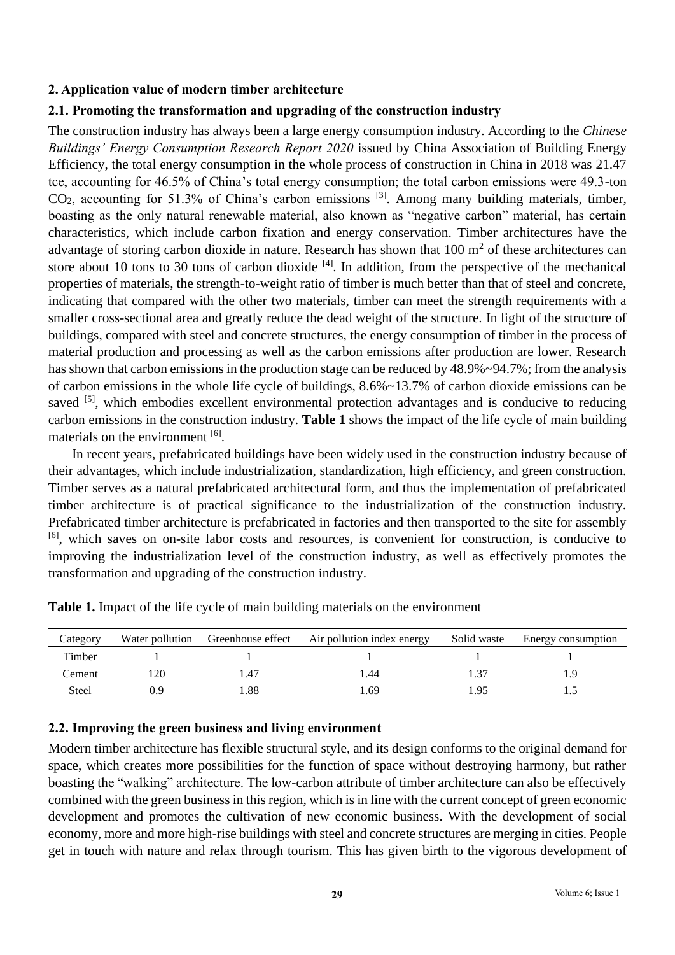#### **2. Application value of modern timber architecture**

## **2.1. Promoting the transformation and upgrading of the construction industry**

The construction industry has always been a large energy consumption industry. According to the *Chinese Buildings' Energy Consumption Research Report 2020* issued by China Association of Building Energy Efficiency, the total energy consumption in the whole process of construction in China in 2018 was 21.47 tce, accounting for 46.5% of China's total energy consumption; the total carbon emissions were 49.3-ton  $CO<sub>2</sub>$ , accounting for 51.3% of China's carbon emissions <sup>[3]</sup>. Among many building materials, timber, boasting as the only natural renewable material, also known as "negative carbon" material, has certain characteristics, which include carbon fixation and energy conservation. Timber architectures have the advantage of storing carbon dioxide in nature. Research has shown that  $100 \text{ m}^2$  of these architectures can store about 10 tons to 30 tons of carbon dioxide  $[4]$ . In addition, from the perspective of the mechanical properties of materials, the strength-to-weight ratio of timber is much better than that of steel and concrete, indicating that compared with the other two materials, timber can meet the strength requirements with a smaller cross-sectional area and greatly reduce the dead weight of the structure. In light of the structure of buildings, compared with steel and concrete structures, the energy consumption of timber in the process of material production and processing as well as the carbon emissions after production are lower. Research has shown that carbon emissions in the production stage can be reduced by  $48.9\% \sim 94.7\%$ ; from the analysis of carbon emissions in the whole life cycle of buildings, 8.6%~13.7% of carbon dioxide emissions can be saved <sup>[5]</sup>, which embodies excellent environmental protection advantages and is conducive to reducing carbon emissions in the construction industry. **Table 1** shows the impact of the life cycle of main building materials on the environment [6].

In recent years, prefabricated buildings have been widely used in the construction industry because of their advantages, which include industrialization, standardization, high efficiency, and green construction. Timber serves as a natural prefabricated architectural form, and thus the implementation of prefabricated timber architecture is of practical significance to the industrialization of the construction industry. Prefabricated timber architecture is prefabricated in factories and then transported to the site for assembly [6], which saves on on-site labor costs and resources, is convenient for construction, is conducive to improving the industrialization level of the construction industry, as well as effectively promotes the transformation and upgrading of the construction industry.

| Category | Water pollution | Greenhouse effect | Air pollution index energy | Solid waste | Energy consumption |
|----------|-----------------|-------------------|----------------------------|-------------|--------------------|
| Timber   |                 |                   |                            |             |                    |
| Cement   | 120             | 1.47              | .44                        |             |                    |
| Steel    | 0.9             | .88               | .69                        | .95         |                    |

**Table 1.** Impact of the life cycle of main building materials on the environment

## **2.2. Improving the green business and living environment**

Modern timber architecture has flexible structural style, and its design conforms to the original demand for space, which creates more possibilities for the function of space without destroying harmony, but rather boasting the "walking" architecture. The low-carbon attribute of timber architecture can also be effectively combined with the green business in this region, which is in line with the current concept of green economic development and promotes the cultivation of new economic business. With the development of social economy, more and more high-rise buildings with steel and concrete structures are merging in cities. People get in touch with nature and relax through tourism. This has given birth to the vigorous development of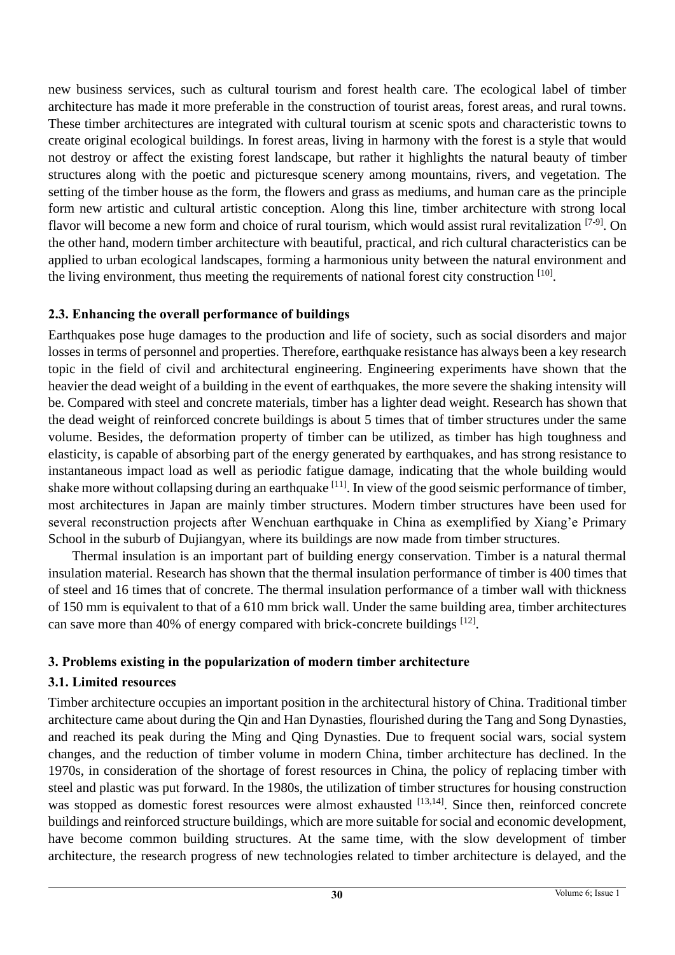new business services, such as cultural tourism and forest health care. The ecological label of timber architecture has made it more preferable in the construction of tourist areas, forest areas, and rural towns. These timber architectures are integrated with cultural tourism at scenic spots and characteristic towns to create original ecological buildings. In forest areas, living in harmony with the forest is a style that would not destroy or affect the existing forest landscape, but rather it highlights the natural beauty of timber structures along with the poetic and picturesque scenery among mountains, rivers, and vegetation. The setting of the timber house as the form, the flowers and grass as mediums, and human care as the principle form new artistic and cultural artistic conception. Along this line, timber architecture with strong local flavor will become a new form and choice of rural tourism, which would assist rural revitalization [7-9]. On the other hand, modern timber architecture with beautiful, practical, and rich cultural characteristics can be applied to urban ecological landscapes, forming a harmonious unity between the natural environment and the living environment, thus meeting the requirements of national forest city construction [10].

## **2.3. Enhancing the overall performance of buildings**

Earthquakes pose huge damages to the production and life of society, such as social disorders and major losses in terms of personnel and properties. Therefore, earthquake resistance has always been a key research topic in the field of civil and architectural engineering. Engineering experiments have shown that the heavier the dead weight of a building in the event of earthquakes, the more severe the shaking intensity will be. Compared with steel and concrete materials, timber has a lighter dead weight. Research has shown that the dead weight of reinforced concrete buildings is about 5 times that of timber structures under the same volume. Besides, the deformation property of timber can be utilized, as timber has high toughness and elasticity, is capable of absorbing part of the energy generated by earthquakes, and has strong resistance to instantaneous impact load as well as periodic fatigue damage, indicating that the whole building would shake more without collapsing during an earthquake <sup>[11]</sup>. In view of the good seismic performance of timber, most architectures in Japan are mainly timber structures. Modern timber structures have been used for several reconstruction projects after Wenchuan earthquake in China as exemplified by Xiang'e Primary School in the suburb of Dujiangyan, where its buildings are now made from timber structures.

Thermal insulation is an important part of building energy conservation. Timber is a natural thermal insulation material. Research has shown that the thermal insulation performance of timber is 400 times that of steel and 16 times that of concrete. The thermal insulation performance of a timber wall with thickness of 150 mm is equivalent to that of a 610 mm brick wall. Under the same building area, timber architectures can save more than 40% of energy compared with brick-concrete buildings  $^{[12]}$ .

## **3. Problems existing in the popularization of modern timber architecture**

## **3.1. Limited resources**

Timber architecture occupies an important position in the architectural history of China. Traditional timber architecture came about during the Qin and Han Dynasties, flourished during the Tang and Song Dynasties, and reached its peak during the Ming and Qing Dynasties. Due to frequent social wars, social system changes, and the reduction of timber volume in modern China, timber architecture has declined. In the 1970s, in consideration of the shortage of forest resources in China, the policy of replacing timber with steel and plastic was put forward. In the 1980s, the utilization of timber structures for housing construction was stopped as domestic forest resources were almost exhausted [13,14]. Since then, reinforced concrete buildings and reinforced structure buildings, which are more suitable for social and economic development, have become common building structures. At the same time, with the slow development of timber architecture, the research progress of new technologies related to timber architecture is delayed, and the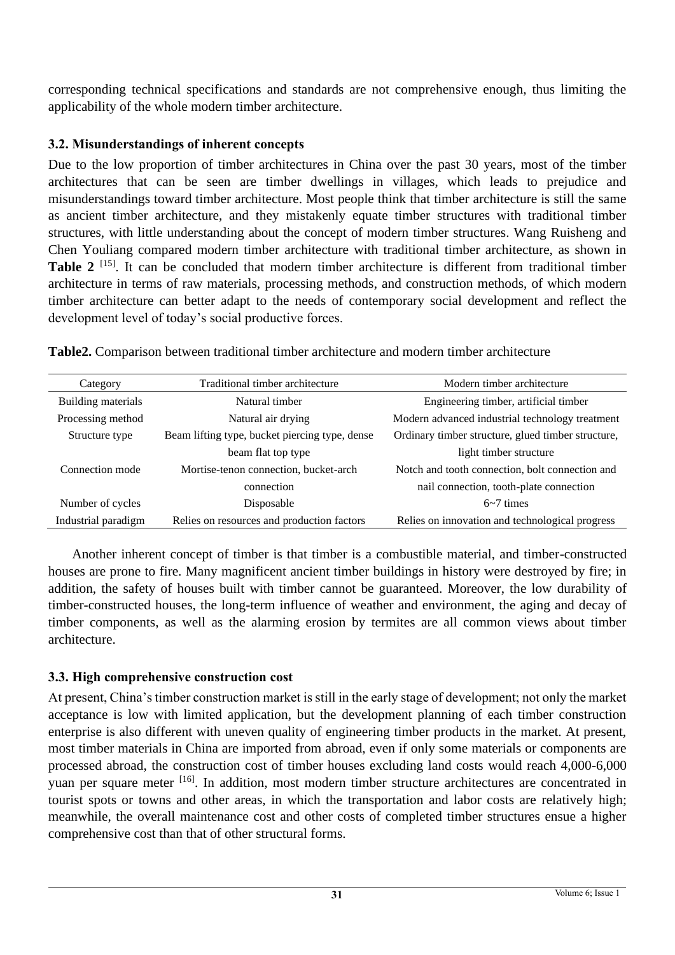corresponding technical specifications and standards are not comprehensive enough, thus limiting the applicability of the whole modern timber architecture.

## **3.2. Misunderstandings of inherent concepts**

Due to the low proportion of timber architectures in China over the past 30 years, most of the timber architectures that can be seen are timber dwellings in villages, which leads to prejudice and misunderstandings toward timber architecture. Most people think that timber architecture is still the same as ancient timber architecture, and they mistakenly equate timber structures with traditional timber structures, with little understanding about the concept of modern timber structures. Wang Ruisheng and Chen Youliang compared modern timber architecture with traditional timber architecture, as shown in **Table 2** <sup>[15]</sup>. It can be concluded that modern timber architecture is different from traditional timber architecture in terms of raw materials, processing methods, and construction methods, of which modern timber architecture can better adapt to the needs of contemporary social development and reflect the development level of today's social productive forces.

| Category            | Traditional timber architecture                | Modern timber architecture                         |  |
|---------------------|------------------------------------------------|----------------------------------------------------|--|
| Building materials  | Natural timber                                 | Engineering timber, artificial timber              |  |
| Processing method   | Natural air drying                             | Modern advanced industrial technology treatment    |  |
| Structure type      | Beam lifting type, bucket piercing type, dense | Ordinary timber structure, glued timber structure, |  |
|                     | beam flat top type                             | light timber structure                             |  |
| Connection mode     | Mortise-tenon connection, bucket-arch          | Notch and tooth connection, bolt connection and    |  |
|                     | connection                                     | nail connection, tooth-plate connection            |  |
| Number of cycles    | Disposable                                     | $6-7$ times                                        |  |
| Industrial paradigm | Relies on resources and production factors     | Relies on innovation and technological progress    |  |

**Table2.** Comparison between traditional timber architecture and modern timber architecture

Another inherent concept of timber is that timber is a combustible material, and timber-constructed houses are prone to fire. Many magnificent ancient timber buildings in history were destroyed by fire; in addition, the safety of houses built with timber cannot be guaranteed. Moreover, the low durability of timber-constructed houses, the long-term influence of weather and environment, the aging and decay of timber components, as well as the alarming erosion by termites are all common views about timber architecture.

# **3.3. High comprehensive construction cost**

At present, China's timber construction market is still in the early stage of development; not only the market acceptance is low with limited application, but the development planning of each timber construction enterprise is also different with uneven quality of engineering timber products in the market. At present, most timber materials in China are imported from abroad, even if only some materials or components are processed abroad, the construction cost of timber houses excluding land costs would reach 4,000-6,000 yuan per square meter <sup>[16]</sup>. In addition, most modern timber structure architectures are concentrated in tourist spots or towns and other areas, in which the transportation and labor costs are relatively high; meanwhile, the overall maintenance cost and other costs of completed timber structures ensue a higher comprehensive cost than that of other structural forms.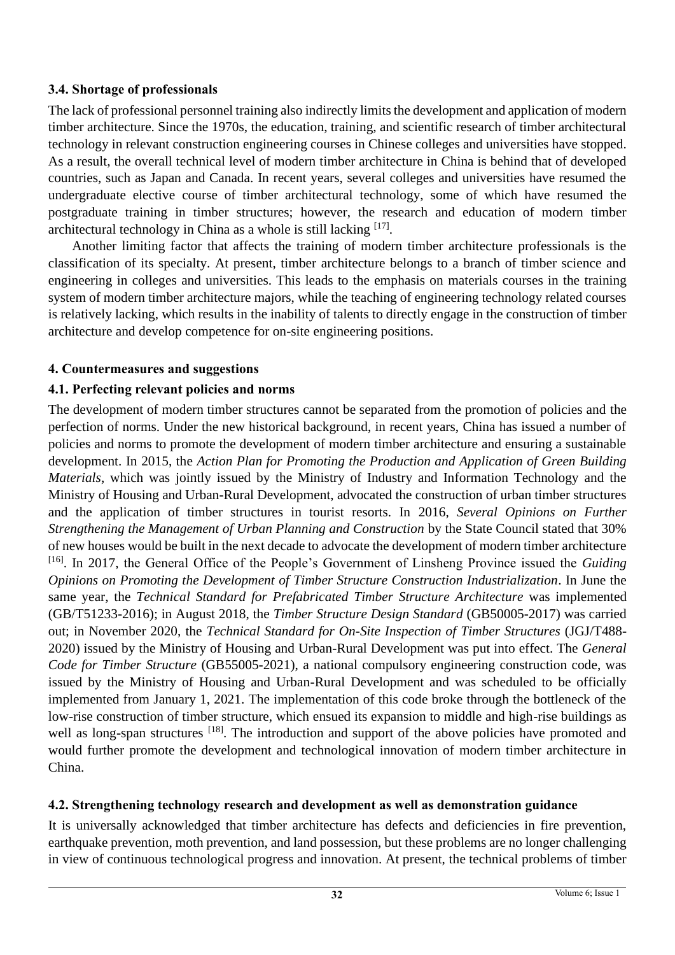#### **3.4. Shortage of professionals**

The lack of professional personnel training also indirectly limits the development and application of modern timber architecture. Since the 1970s, the education, training, and scientific research of timber architectural technology in relevant construction engineering courses in Chinese colleges and universities have stopped. As a result, the overall technical level of modern timber architecture in China is behind that of developed countries, such as Japan and Canada. In recent years, several colleges and universities have resumed the undergraduate elective course of timber architectural technology, some of which have resumed the postgraduate training in timber structures; however, the research and education of modern timber architectural technology in China as a whole is still lacking [17].

Another limiting factor that affects the training of modern timber architecture professionals is the classification of its specialty. At present, timber architecture belongs to a branch of timber science and engineering in colleges and universities. This leads to the emphasis on materials courses in the training system of modern timber architecture majors, while the teaching of engineering technology related courses is relatively lacking, which results in the inability of talents to directly engage in the construction of timber architecture and develop competence for on-site engineering positions.

#### **4. Countermeasures and suggestions**

#### **4.1. Perfecting relevant policies and norms**

The development of modern timber structures cannot be separated from the promotion of policies and the perfection of norms. Under the new historical background, in recent years, China has issued a number of policies and norms to promote the development of modern timber architecture and ensuring a sustainable development. In 2015, the *Action Plan for Promoting the Production and Application of Green Building Materials*, which was jointly issued by the Ministry of Industry and Information Technology and the Ministry of Housing and Urban-Rural Development, advocated the construction of urban timber structures and the application of timber structures in tourist resorts. In 2016, *Several Opinions on Further Strengthening the Management of Urban Planning and Construction* by the State Council stated that 30% of new houses would be built in the next decade to advocate the development of modern timber architecture [16]. In 2017, the General Office of the People's Government of Linsheng Province issued the *Guiding Opinions on Promoting the Development of Timber Structure Construction Industrialization*. In June the same year, the *Technical Standard for Prefabricated Timber Structure Architecture* was implemented (GB/T51233-2016); in August 2018, the *Timber Structure Design Standard* (GB50005-2017) was carried out; in November 2020, the *Technical Standard for On-Site Inspection of Timber Structures* (JGJ/T488- 2020) issued by the Ministry of Housing and Urban-Rural Development was put into effect. The *General Code for Timber Structure* (GB55005-2021), a national compulsory engineering construction code, was issued by the Ministry of Housing and Urban-Rural Development and was scheduled to be officially implemented from January 1, 2021. The implementation of this code broke through the bottleneck of the low-rise construction of timber structure, which ensued its expansion to middle and high-rise buildings as well as long-span structures [18]. The introduction and support of the above policies have promoted and would further promote the development and technological innovation of modern timber architecture in China.

#### **4.2. Strengthening technology research and development as well as demonstration guidance**

It is universally acknowledged that timber architecture has defects and deficiencies in fire prevention, earthquake prevention, moth prevention, and land possession, but these problems are no longer challenging in view of continuous technological progress and innovation. At present, the technical problems of timber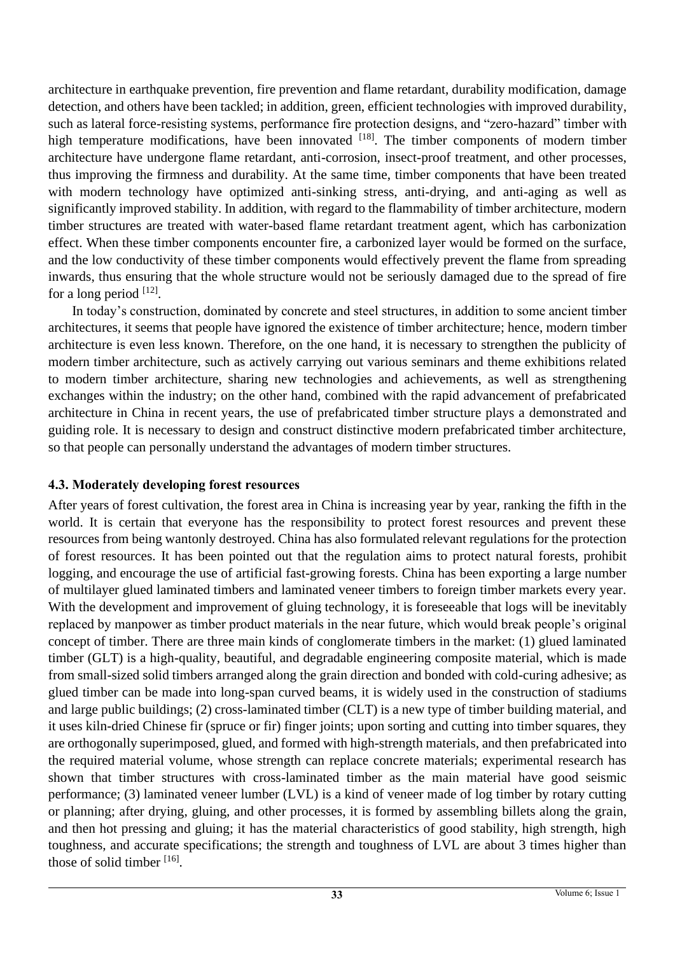architecture in earthquake prevention, fire prevention and flame retardant, durability modification, damage detection, and others have been tackled; in addition, green, efficient technologies with improved durability, such as lateral force-resisting systems, performance fire protection designs, and "zero-hazard" timber with high temperature modifications, have been innovated <sup>[18]</sup>. The timber components of modern timber architecture have undergone flame retardant, anti-corrosion, insect-proof treatment, and other processes, thus improving the firmness and durability. At the same time, timber components that have been treated with modern technology have optimized anti-sinking stress, anti-drying, and anti-aging as well as significantly improved stability. In addition, with regard to the flammability of timber architecture, modern timber structures are treated with water-based flame retardant treatment agent, which has carbonization effect. When these timber components encounter fire, a carbonized layer would be formed on the surface, and the low conductivity of these timber components would effectively prevent the flame from spreading inwards, thus ensuring that the whole structure would not be seriously damaged due to the spread of fire for a long period  $^{[12]}$ .

In today's construction, dominated by concrete and steel structures, in addition to some ancient timber architectures, it seems that people have ignored the existence of timber architecture; hence, modern timber architecture is even less known. Therefore, on the one hand, it is necessary to strengthen the publicity of modern timber architecture, such as actively carrying out various seminars and theme exhibitions related to modern timber architecture, sharing new technologies and achievements, as well as strengthening exchanges within the industry; on the other hand, combined with the rapid advancement of prefabricated architecture in China in recent years, the use of prefabricated timber structure plays a demonstrated and guiding role. It is necessary to design and construct distinctive modern prefabricated timber architecture, so that people can personally understand the advantages of modern timber structures.

#### **4.3. Moderately developing forest resources**

After years of forest cultivation, the forest area in China is increasing year by year, ranking the fifth in the world. It is certain that everyone has the responsibility to protect forest resources and prevent these resources from being wantonly destroyed. China has also formulated relevant regulations for the protection of forest resources. It has been pointed out that the regulation aims to protect natural forests, prohibit logging, and encourage the use of artificial fast-growing forests. China has been exporting a large number of multilayer glued laminated timbers and laminated veneer timbers to foreign timber markets every year. With the development and improvement of gluing technology, it is foreseeable that logs will be inevitably replaced by manpower as timber product materials in the near future, which would break people's original concept of timber. There are three main kinds of conglomerate timbers in the market: (1) glued laminated timber (GLT) is a high-quality, beautiful, and degradable engineering composite material, which is made from small-sized solid timbers arranged along the grain direction and bonded with cold-curing adhesive; as glued timber can be made into long-span curved beams, it is widely used in the construction of stadiums and large public buildings; (2) cross-laminated timber (CLT) is a new type of timber building material, and it uses kiln-dried Chinese fir (spruce or fir) finger joints; upon sorting and cutting into timber squares, they are orthogonally superimposed, glued, and formed with high-strength materials, and then prefabricated into the required material volume, whose strength can replace concrete materials; experimental research has shown that timber structures with cross-laminated timber as the main material have good seismic performance; (3) laminated veneer lumber (LVL) is a kind of veneer made of log timber by rotary cutting or planning; after drying, gluing, and other processes, it is formed by assembling billets along the grain, and then hot pressing and gluing; it has the material characteristics of good stability, high strength, high toughness, and accurate specifications; the strength and toughness of LVL are about 3 times higher than those of solid timber [16].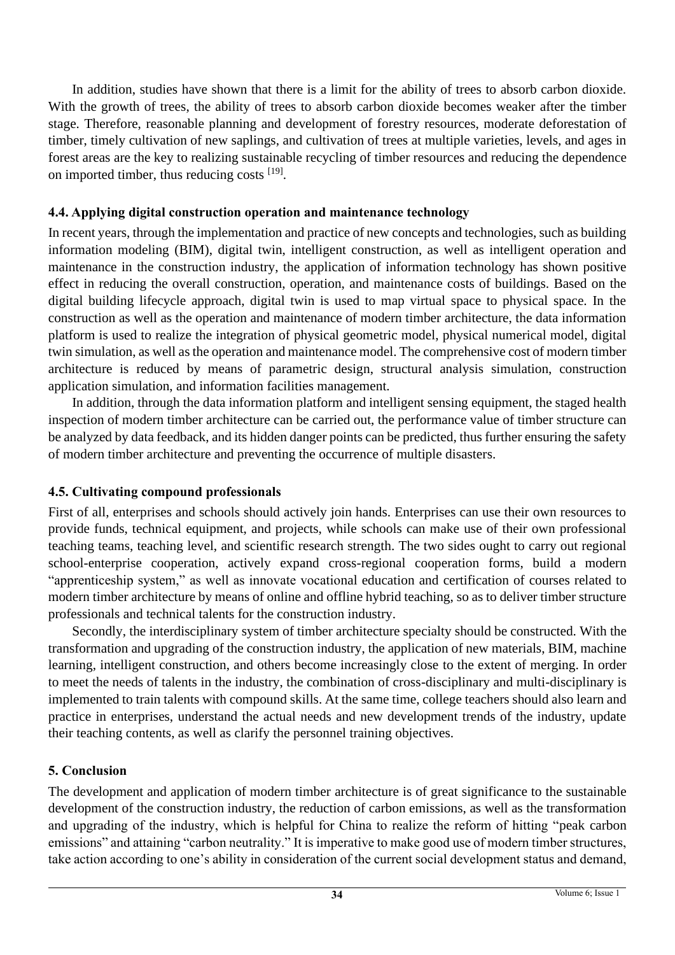In addition, studies have shown that there is a limit for the ability of trees to absorb carbon dioxide. With the growth of trees, the ability of trees to absorb carbon dioxide becomes weaker after the timber stage. Therefore, reasonable planning and development of forestry resources, moderate deforestation of timber, timely cultivation of new saplings, and cultivation of trees at multiple varieties, levels, and ages in forest areas are the key to realizing sustainable recycling of timber resources and reducing the dependence on imported timber, thus reducing costs [19].

#### **4.4. Applying digital construction operation and maintenance technology**

In recent years, through the implementation and practice of new concepts and technologies, such as building information modeling (BIM), digital twin, intelligent construction, as well as intelligent operation and maintenance in the construction industry, the application of information technology has shown positive effect in reducing the overall construction, operation, and maintenance costs of buildings. Based on the digital building lifecycle approach, digital twin is used to map virtual space to physical space. In the construction as well as the operation and maintenance of modern timber architecture, the data information platform is used to realize the integration of physical geometric model, physical numerical model, digital twin simulation, as well as the operation and maintenance model. The comprehensive cost of modern timber architecture is reduced by means of parametric design, structural analysis simulation, construction application simulation, and information facilities management.

In addition, through the data information platform and intelligent sensing equipment, the staged health inspection of modern timber architecture can be carried out, the performance value of timber structure can be analyzed by data feedback, and its hidden danger points can be predicted, thus further ensuring the safety of modern timber architecture and preventing the occurrence of multiple disasters.

# **4.5. Cultivating compound professionals**

First of all, enterprises and schools should actively join hands. Enterprises can use their own resources to provide funds, technical equipment, and projects, while schools can make use of their own professional teaching teams, teaching level, and scientific research strength. The two sides ought to carry out regional school-enterprise cooperation, actively expand cross-regional cooperation forms, build a modern "apprenticeship system," as well as innovate vocational education and certification of courses related to modern timber architecture by means of online and offline hybrid teaching, so as to deliver timber structure professionals and technical talents for the construction industry.

Secondly, the interdisciplinary system of timber architecture specialty should be constructed. With the transformation and upgrading of the construction industry, the application of new materials, BIM, machine learning, intelligent construction, and others become increasingly close to the extent of merging. In order to meet the needs of talents in the industry, the combination of cross-disciplinary and multi-disciplinary is implemented to train talents with compound skills. At the same time, college teachers should also learn and practice in enterprises, understand the actual needs and new development trends of the industry, update their teaching contents, as well as clarify the personnel training objectives.

# **5. Conclusion**

The development and application of modern timber architecture is of great significance to the sustainable development of the construction industry, the reduction of carbon emissions, as well as the transformation and upgrading of the industry, which is helpful for China to realize the reform of hitting "peak carbon emissions" and attaining "carbon neutrality." It is imperative to make good use of modern timber structures, take action according to one's ability in consideration of the current social development status and demand,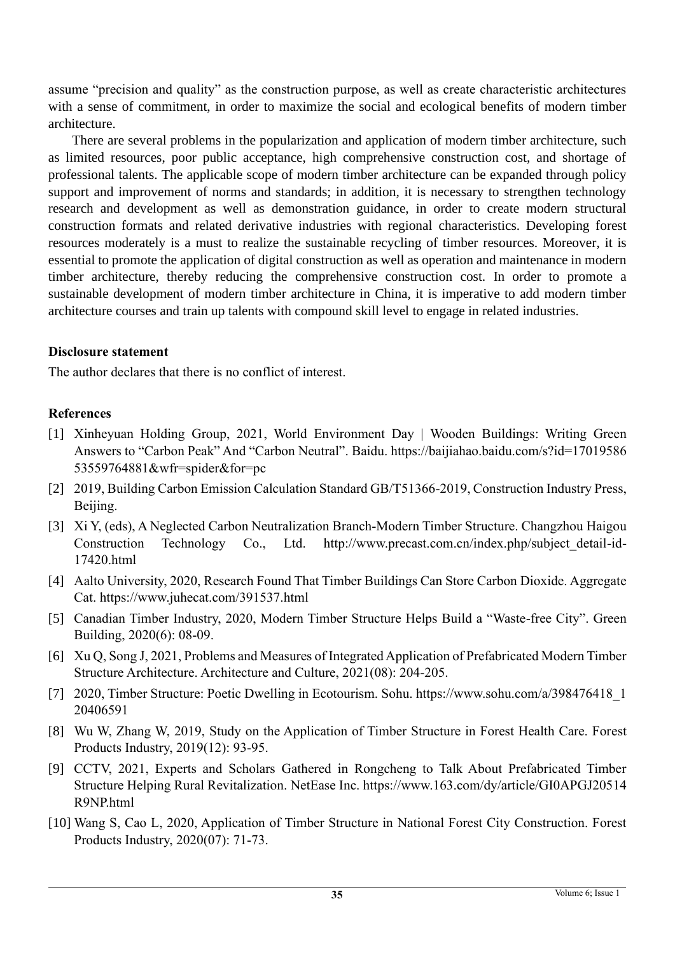assume "precision and quality" as the construction purpose, as well as create characteristic architectures with a sense of commitment, in order to maximize the social and ecological benefits of modern timber architecture.

There are several problems in the popularization and application of modern timber architecture, such as limited resources, poor public acceptance, high comprehensive construction cost, and shortage of professional talents. The applicable scope of modern timber architecture can be expanded through policy support and improvement of norms and standards; in addition, it is necessary to strengthen technology research and development as well as demonstration guidance, in order to create modern structural construction formats and related derivative industries with regional characteristics. Developing forest resources moderately is a must to realize the sustainable recycling of timber resources. Moreover, it is essential to promote the application of digital construction as well as operation and maintenance in modern timber architecture, thereby reducing the comprehensive construction cost. In order to promote a sustainable development of modern timber architecture in China, it is imperative to add modern timber architecture courses and train up talents with compound skill level to engage in related industries.

#### **Disclosure statement**

The author declares that there is no conflict of interest.

#### **References**

- [1] Xinheyuan Holding Group, 2021, World Environment Day | Wooden Buildings: Writing Green Answers to "Carbon Peak" And "Carbon Neutral". Baidu. https://baijiahao.baidu.com/s?id=17019586 53559764881&wfr=spider&for=pc
- [2] 2019, Building Carbon Emission Calculation Standard GB/T51366-2019, Construction Industry Press, Beijing.
- [3] Xi Y, (eds), A Neglected Carbon Neutralization Branch-Modern Timber Structure. Changzhou Haigou Construction Technology Co., Ltd. http://www.precast.com.cn/index.php/subject\_detail-id-17420.html
- [4] Aalto University, 2020, Research Found That Timber Buildings Can Store Carbon Dioxide. Aggregate Cat. https://www.juhecat.com/391537.html
- [5] Canadian Timber Industry, 2020, Modern Timber Structure Helps Build a "Waste-free City". Green Building, 2020(6): 08-09.
- [6] Xu Q, Song J, 2021, Problems and Measures of Integrated Application of Prefabricated Modern Timber Structure Architecture. Architecture and Culture, 2021(08): 204-205.
- [7] 2020, Timber Structure: Poetic Dwelling in Ecotourism. Sohu. https://www.sohu.com/a/398476418\_1 20406591
- [8] Wu W, Zhang W, 2019, Study on the Application of Timber Structure in Forest Health Care. Forest Products Industry, 2019(12): 93-95.
- [9] CCTV, 2021, Experts and Scholars Gathered in Rongcheng to Talk About Prefabricated Timber Structure Helping Rural Revitalization. NetEase Inc. https://www.163.com/dy/article/GI0APGJ20514 R9NP.html
- [10] Wang S, Cao L, 2020, Application of Timber Structure in National Forest City Construction. Forest Products Industry, 2020(07): 71-73.